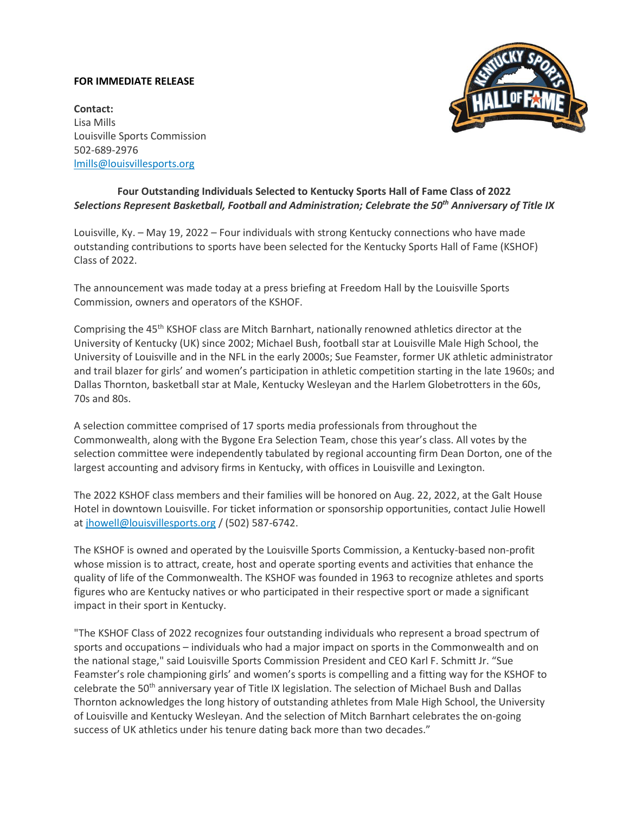## **FOR IMMEDIATE RELEASE**



**Contact:** Lisa Mills Louisville Sports Commission 502-689-2976 [lmills@louisvillesports.org](mailto:lmills@louisvillesports.org)

# **Four Outstanding Individuals Selected to Kentucky Sports Hall of Fame Class of 2022** *Selections Represent Basketball, Football and Administration; Celebrate the 50th Anniversary of Title IX*

Louisville, Ky. – May 19, 2022 – Four individuals with strong Kentucky connections who have made outstanding contributions to sports have been selected for the Kentucky Sports Hall of Fame (KSHOF) Class of 2022.

The announcement was made today at a press briefing at Freedom Hall by the Louisville Sports Commission, owners and operators of the KSHOF.

Comprising the 45th KSHOF class are Mitch Barnhart, nationally renowned athletics director at the University of Kentucky (UK) since 2002; Michael Bush, football star at Louisville Male High School, the University of Louisville and in the NFL in the early 2000s; Sue Feamster, former UK athletic administrator and trail blazer for girls' and women's participation in athletic competition starting in the late 1960s; and Dallas Thornton, basketball star at Male, Kentucky Wesleyan and the Harlem Globetrotters in the 60s, 70s and 80s.

A selection committee comprised of 17 sports media professionals from throughout the Commonwealth, along with the Bygone Era Selection Team, chose this year's class. All votes by the selection committee were independently tabulated by regional accounting firm Dean Dorton, one of the largest accounting and advisory firms in Kentucky, with offices in Louisville and Lexington.

The 2022 KSHOF class members and their families will be honored on Aug. 22, 2022, at the Galt House Hotel in downtown Louisville. For ticket information or sponsorship opportunities, contact Julie Howell a[t jhowell@louisvillesports.org](mailto:jhowell@louisvillesports.org) / (502) 587-6742.

The KSHOF is owned and operated by the Louisville Sports Commission, a Kentucky-based non-profit whose mission is to attract, create, host and operate sporting events and activities that enhance the quality of life of the Commonwealth. The KSHOF was founded in 1963 to recognize athletes and sports figures who are Kentucky natives or who participated in their respective sport or made a significant impact in their sport in Kentucky.

"The KSHOF Class of 2022 recognizes four outstanding individuals who represent a broad spectrum of sports and occupations – individuals who had a major impact on sports in the Commonwealth and on the national stage," said Louisville Sports Commission President and CEO Karl F. Schmitt Jr. "Sue Feamster's role championing girls' and women's sports is compelling and a fitting way for the KSHOF to celebrate the 50th anniversary year of Title IX legislation. The selection of Michael Bush and Dallas Thornton acknowledges the long history of outstanding athletes from Male High School, the University of Louisville and Kentucky Wesleyan. And the selection of Mitch Barnhart celebrates the on-going success of UK athletics under his tenure dating back more than two decades."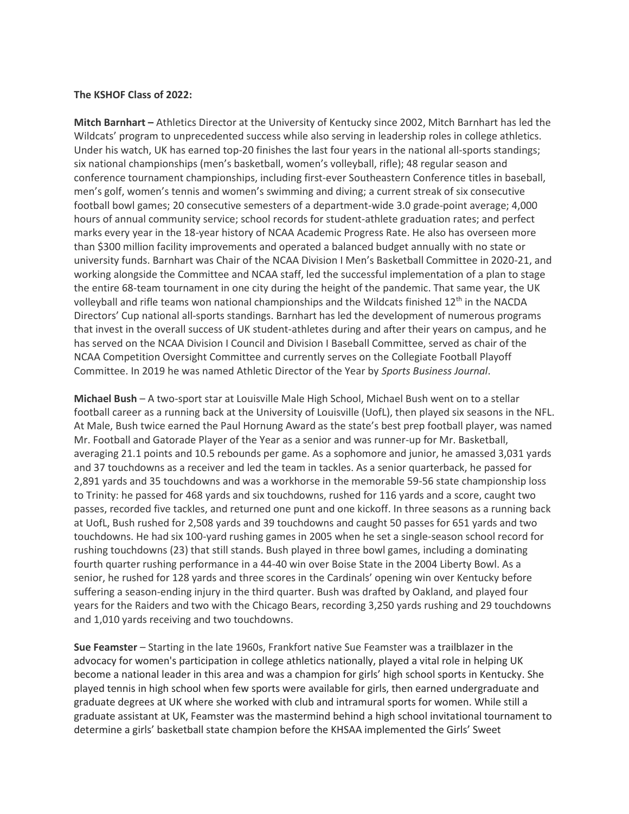## **The KSHOF Class of 2022:**

**Mitch Barnhart –** Athletics Director at the University of Kentucky since 2002, Mitch Barnhart has led the Wildcats' program to unprecedented success while also serving in leadership roles in college athletics. Under his watch, UK has earned top-20 finishes the last four years in the national all-sports standings; six national championships (men's basketball, women's volleyball, rifle); 48 regular season and conference tournament championships, including first-ever Southeastern Conference titles in baseball, men's golf, women's tennis and women's swimming and diving; a current streak of six consecutive football bowl games; 20 consecutive semesters of a department-wide 3.0 grade-point average; 4,000 hours of annual community service; school records for student-athlete graduation rates; and perfect marks every year in the 18-year history of NCAA Academic Progress Rate. He also has overseen more than \$300 million facility improvements and operated a balanced budget annually with no state or university funds. Barnhart was Chair of the NCAA Division I Men's Basketball Committee in 2020-21, and working alongside the Committee and NCAA staff, led the successful implementation of a plan to stage the entire 68-team tournament in one city during the height of the pandemic. That same year, the UK volleyball and rifle teams won national championships and the Wildcats finished 12<sup>th</sup> in the NACDA Directors' Cup national all-sports standings. Barnhart has led the development of numerous programs that invest in the overall success of UK student-athletes during and after their years on campus, and he has served on the NCAA Division I Council and Division I Baseball Committee, served as chair of the NCAA Competition Oversight Committee and currently serves on the Collegiate Football Playoff Committee. In 2019 he was named Athletic Director of the Year by *Sports Business Journal*.

**Michael Bush** – A two-sport star at Louisville Male High School, Michael Bush went on to a stellar football career as a running back at the University of Louisville (UofL), then played six seasons in the NFL. At Male, Bush twice earned the Paul Hornung Award as the state's best prep football player, was named Mr. Football and Gatorade Player of the Year as a senior and was runner-up for Mr. Basketball, averaging 21.1 points and 10.5 rebounds per game. As a sophomore and junior, he amassed 3,031 yards and 37 touchdowns as a receiver and led the team in tackles. As a senior quarterback, he passed for 2,891 yards and 35 touchdowns and was a workhorse in the memorable 59-56 state championship loss to Trinity: he passed for 468 yards and six touchdowns, rushed for 116 yards and a score, caught two passes, recorded five tackles, and returned one punt and one kickoff. In three seasons as a running back at UofL, Bush rushed for 2,508 yards and 39 touchdowns and caught 50 passes for 651 yards and two touchdowns. He had six 100-yard rushing games in 2005 when he set a single-season school record for rushing touchdowns (23) that still stands. Bush played in three bowl games, including a dominating fourth quarter rushing performance in a 44-40 win over Boise State in the 2004 Liberty Bowl. As a senior, he rushed for 128 yards and three scores in the Cardinals' opening win over Kentucky before suffering a season-ending injury in the third quarter. Bush was drafted by Oakland, and played four years for the Raiders and two with the Chicago Bears, recording 3,250 yards rushing and 29 touchdowns and 1,010 yards receiving and two touchdowns.

**Sue Feamster** – Starting in the late 1960s, Frankfort native Sue Feamster was a trailblazer in the advocacy for women's participation in college athletics nationally, played a vital role in helping UK become a national leader in this area and was a champion for girls' high school sports in Kentucky. She played tennis in high school when few sports were available for girls, then earned undergraduate and graduate degrees at UK where she worked with club and intramural sports for women. While still a graduate assistant at UK, Feamster was the mastermind behind a high school invitational tournament to determine a girls' basketball state champion before the KHSAA implemented the Girls' Sweet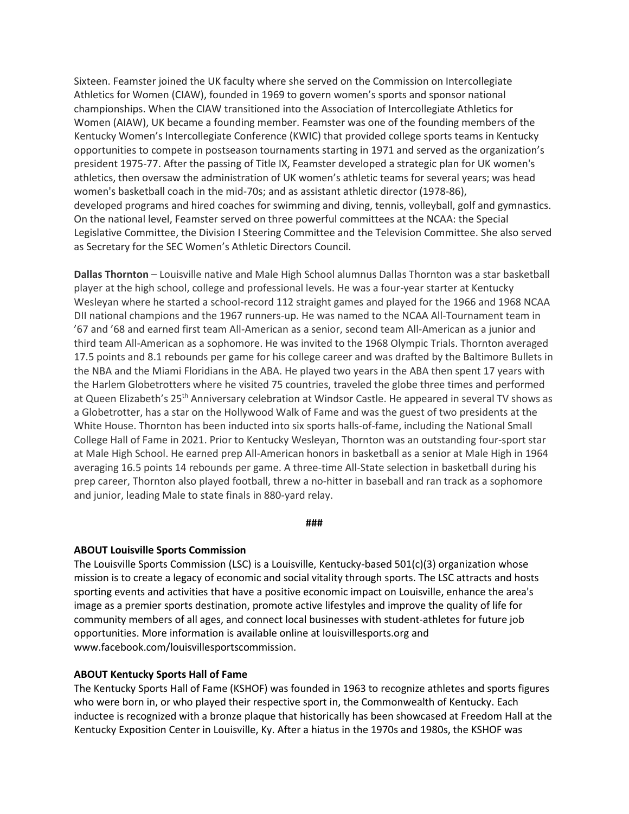Sixteen. Feamster joined the UK faculty where she served on the Commission on Intercollegiate Athletics for Women (CIAW), founded in 1969 to govern women's sports and sponsor national championships. When the CIAW transitioned into the Association of Intercollegiate Athletics for Women (AIAW), UK became a founding member. Feamster was one of the founding members of the Kentucky Women's Intercollegiate Conference (KWIC) that provided college sports teams in Kentucky opportunities to compete in postseason tournaments starting in 1971 and served as the organization's president 1975-77. After the passing of Title IX, Feamster developed a strategic plan for UK women's athletics, then oversaw the administration of UK women's athletic teams for several years; was head women's basketball coach in the mid-70s; and as assistant athletic director (1978-86), developed programs and hired coaches for swimming and diving, tennis, volleyball, golf and gymnastics. On the national level, Feamster served on three powerful committees at the NCAA: the Special Legislative Committee, the Division I Steering Committee and the Television Committee. She also served as Secretary for the SEC Women's Athletic Directors Council.

**Dallas Thornton** – Louisville native and Male High School alumnus Dallas Thornton was a star basketball player at the high school, college and professional levels. He was a four-year starter at Kentucky Wesleyan where he started a school-record 112 straight games and played for the 1966 and 1968 NCAA DII national champions and the 1967 runners-up. He was named to the NCAA All-Tournament team in '67 and '68 and earned first team All-American as a senior, second team All-American as a junior and third team All-American as a sophomore. He was invited to the 1968 Olympic Trials. Thornton averaged 17.5 points and 8.1 rebounds per game for his college career and was drafted by the Baltimore Bullets in the NBA and the Miami Floridians in the ABA. He played two years in the ABA then spent 17 years with the Harlem Globetrotters where he visited 75 countries, traveled the globe three times and performed at Queen Elizabeth's 25<sup>th</sup> Anniversary celebration at Windsor Castle. He appeared in several TV shows as a Globetrotter, has a star on the Hollywood Walk of Fame and was the guest of two presidents at the White House. Thornton has been inducted into six sports halls-of-fame, including the National Small College Hall of Fame in 2021. Prior to Kentucky Wesleyan, Thornton was an outstanding four-sport star at Male High School. He earned prep All-American honors in basketball as a senior at Male High in 1964 averaging 16.5 points 14 rebounds per game. A three-time All-State selection in basketball during his prep career, Thornton also played football, threw a no-hitter in baseball and ran track as a sophomore and junior, leading Male to state finals in 880-yard relay.

#### **###**

#### **ABOUT Louisville Sports Commission**

The Louisville Sports Commission (LSC) is a Louisville, Kentucky-based 501(c)(3) organization whose mission is to create a legacy of economic and social vitality through sports. The LSC attracts and hosts sporting events and activities that have a positive economic impact on Louisville, enhance the area's image as a premier sports destination, promote active lifestyles and improve the quality of life for community members of all ages, and connect local businesses with student-athletes for future job opportunities. More information is available online at louisvillesports.org and www.facebook.com/louisvillesportscommission.

### **ABOUT Kentucky Sports Hall of Fame**

The Kentucky Sports Hall of Fame (KSHOF) was founded in 1963 to recognize athletes and sports figures who were born in, or who played their respective sport in, the Commonwealth of Kentucky. Each inductee is recognized with a bronze plaque that historically has been showcased at Freedom Hall at the Kentucky Exposition Center in Louisville, Ky. After a hiatus in the 1970s and 1980s, the KSHOF was